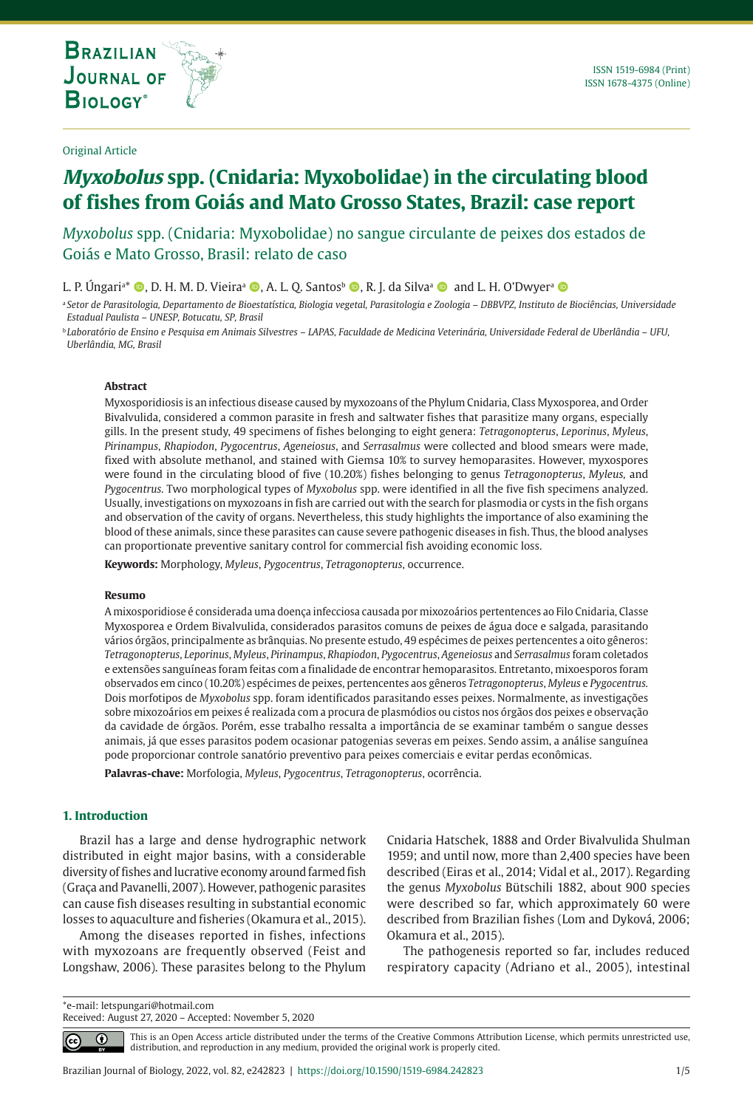**THE INTERNATIONAL JOURNAL ON GLOBAL BIODIVERSITY AND ENVIRONMENT**

# **Myxobolus spp. (Cnidaria: Myxobolidae) in the circulating blood of fishes from Goiás and Mato Grosso States, Brazil: case report**

*Myxobolus* spp. (Cnidaria: Myxobolidae) no sangue circulante de peixes dos estados de Goiás e Mato Grosso, Brasil: relato de caso

L. P. Úngari<sup>a</sup>\* ©, D. H. M. D. Vieira<sup>a</sup> ©, A. L. Q. Santosb ©, R. J. da Silvaª © and L. H. O'Dwyer<sup>a</sup> ©

<sup>a</sup> *Setor de Parasitologia, Departamento de Bioestatística, Biologia vegetal, Parasitologia e Zoologia – DBBVPZ, Instituto de Biociências, Universidade Estadual Paulista – UNESP, Botucatu, SP, Brasil*

<sup>b</sup> *Laboratório de Ensino e Pesquisa em Animais Silvestres – LAPAS, Faculdade de Medicina Veterinária, Universidade Federal de Uberlândia – UFU, Uberlândia, MG, Brasil*

#### **Abstract**

Myxosporidiosis is an infectious disease caused by myxozoans of the Phylum Cnidaria, Class Myxosporea, and Order Bivalvulida, considered a common parasite in fresh and saltwater fishes that parasitize many organs, especially gills. In the present study, 49 specimens of fishes belonging to eight genera: *Tetragonopterus*, *Leporinus*, *Myleus*, *Pirinampus*, *Rhapiodon*, *Pygocentrus*, *Ageneiosus*, and *Serrasalmus* were collected and blood smears were made, fixed with absolute methanol, and stained with Giemsa 10% to survey hemoparasites. However, myxospores were found in the circulating blood of five (10.20%) fishes belonging to genus *Tetragonopterus*, *Myleus,* and *Pygocentrus.* Two morphological types of *Myxobolus* spp. were identified in all the five fish specimens analyzed. Usually, investigations on myxozoans in fish are carried out with the search for plasmodia or cysts in the fish organs and observation of the cavity of organs. Nevertheless, this study highlights the importance of also examining the blood of these animals, since these parasites can cause severe pathogenic diseases in fish. Thus, the blood analyses can proportionate preventive sanitary control for commercial fish avoiding economic loss.

**Keywords:** Morphology, *Myleus*, *Pygocentrus*, *Tetragonopterus*, occurrence.

## **Resumo**

A mixosporidiose é considerada uma doença infecciosa causada por mixozoários pertentences ao Filo Cnidaria, Classe Myxosporea e Ordem Bivalvulida, considerados parasitos comuns de peixes de água doce e salgada, parasitando vários órgãos, principalmente as brânquias. No presente estudo, 49 espécimes de peixes pertencentes a oito gêneros: *Tetragonopterus*, *Leporinus*, *Myleus*, *Pirinampus*, *Rhapiodon*, *Pygocentrus*, *Ageneiosus* and *Serrasalmus* foram coletados e extensões sanguíneas foram feitas com a finalidade de encontrar hemoparasitos. Entretanto, mixoesporos foram observados em cinco (10.20%) espécimes de peixes, pertencentes aos gêneros *Tetragonopterus*, *Myleus* e *Pygocentrus.* Dois morfotipos de *Myxobolus* spp. foram identificados parasitando esses peixes. Normalmente, as investigações sobre mixozoários em peixes é realizada com a procura de plasmódios ou cistos nos órgãos dos peixes e observação da cavidade de órgãos. Porém, esse trabalho ressalta a importância de se examinar também o sangue desses animais, já que esses parasitos podem ocasionar patogenias severas em peixes. Sendo assim, a análise sanguínea pode proporcionar controle sanatório preventivo para peixes comerciais e evitar perdas econômicas.

**Palavras-chave:** Morfologia, *Myleus*, *Pygocentrus*, *Tetragonopterus*, ocorrência.

## **1. Introduction**

 $|cc|$ 

Brazil has a large and dense hydrographic network distributed in eight major basins, with a considerable diversity of fishes and lucrative economy around farmed fish (Graça and Pavanelli, 2007). However, pathogenic parasites can cause fish diseases resulting in substantial economic losses to aquaculture and fisheries (Okamura et al., 2015).

Among the diseases reported in fishes, infections with myxozoans are frequently observed (Feist and Longshaw, 2006). These parasites belong to the Phylum Cnidaria Hatschek, 1888 and Order Bivalvulida Shulman 1959; and until now, more than 2,400 species have been described (Eiras et al., 2014; Vidal et al., 2017). Regarding the genus *Myxobolus* Bütschili 1882, about 900 species were described so far, which approximately 60 were described from Brazilian fishes (Lom and Dyková, 2006; Okamura et al., 2015).

The pathogenesis reported so far, includes reduced respiratory capacity (Adriano et al., 2005), intestinal

\*e-mail: letspungari@hotmail.com Received: August 27, 2020 – Accepted: November 5, 2020

> This is an Open Access article distributed under the terms of the Creative Commons Attribution License, which permits unrestricted use, ⋒ distribution, and reproduction in any medium, provided the original work is properly cited.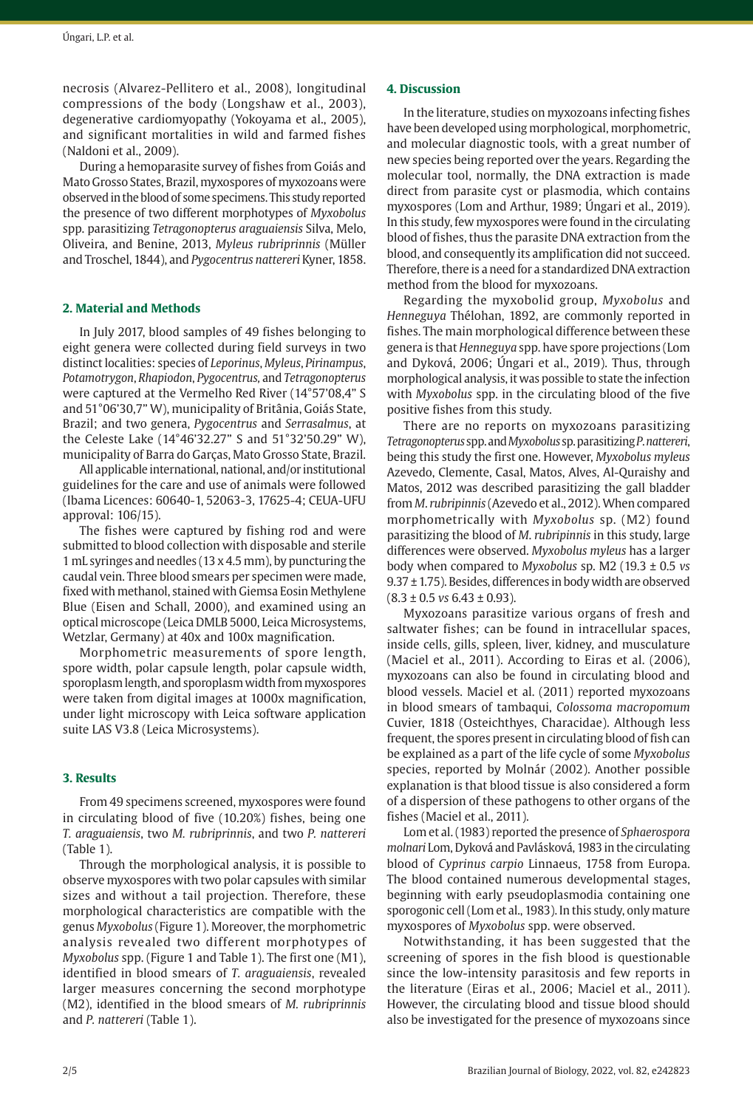necrosis (Alvarez-Pellitero et al., 2008), longitudinal compressions of the body (Longshaw et al., 2003), degenerative cardiomyopathy (Yokoyama et al., 2005), and significant mortalities in wild and farmed fishes (Naldoni et al., 2009).

During a hemoparasite survey of fishes from Goiás and Mato Grosso States, Brazil, myxospores of myxozoans were observed in the blood of some specimens. This study reported the presence of two different morphotypes of *Myxobolus* spp. parasitizing *Tetragonopterus araguaiensis* Silva, Melo, Oliveira, and Benine, 2013, *Myleus rubriprinnis* (Müller and Troschel, 1844), and *Pygocentrus nattereri* Kyner, 1858.

## **2. Material and Methods**

In July 2017, blood samples of 49 fishes belonging to eight genera were collected during field surveys in two distinct localities: species of *Leporinus*, *Myleus*, *Pirinampus*, *Potamotrygon*, *Rhapiodon*, *Pygocentrus,* and *Tetragonopterus* were captured at the Vermelho Red River (14°57'08,4" S and 51°06'30,7" W), municipality of Britânia, Goiás State, Brazil; and two genera, *Pygocentrus* and *Serrasalmus*, at the Celeste Lake (14°46'32.27" S and 51°32'50.29" W), municipality of Barra do Garças, Mato Grosso State, Brazil.

All applicable international, national, and/or institutional guidelines for the care and use of animals were followed (Ibama Licences: 60640-1, 52063-3, 17625-4; CEUA-UFU approval: 106/15).

The fishes were captured by fishing rod and were submitted to blood collection with disposable and sterile 1 mL syringes and needles (13 x 4.5 mm), by puncturing the caudal vein. Three blood smears per specimen were made, fixed with methanol, stained with Giemsa Eosin Methylene Blue (Eisen and Schall, 2000), and examined using an optical microscope (Leica DMLB 5000, Leica Microsystems, Wetzlar, Germany) at 40x and 100x magnification.

Morphometric measurements of spore length, spore width, polar capsule length, polar capsule width, sporoplasm length, and sporoplasm width from myxospores were taken from digital images at 1000x magnification, under light microscopy with Leica software application suite LAS V3.8 (Leica Microsystems).

## **3. Results**

From 49 specimens screened, myxospores were found in circulating blood of five (10.20%) fishes, being one *T. araguaiensis*, two *M. rubriprinnis*, and two *P. nattereri* (Table 1).

Through the morphological analysis, it is possible to observe myxospores with two polar capsules with similar sizes and without a tail projection. Therefore, these morphological characteristics are compatible with the genus *Myxobolus* (Figure 1). Moreover, the morphometric analysis revealed two different morphotypes of *Myxobolus* spp. (Figure 1 and Table 1). The first one (M1), identified in blood smears of *T. araguaiensis*, revealed larger measures concerning the second morphotype (M2), identified in the blood smears of *M. rubriprinnis* and *P. nattereri* (Table 1).

## **4. Discussion**

In the literature, studies on myxozoans infecting fishes have been developed using morphological, morphometric, and molecular diagnostic tools, with a great number of new species being reported over the years. Regarding the molecular tool, normally, the DNA extraction is made direct from parasite cyst or plasmodia, which contains myxospores (Lom and Arthur, 1989; Úngari et al., 2019). In this study, few myxospores were found in the circulating blood of fishes, thus the parasite DNA extraction from the blood, and consequently its amplification did not succeed. Therefore, there is a need for a standardized DNA extraction method from the blood for myxozoans.

Regarding the myxobolid group, *Myxobolus* and *Henneguya* Thélohan, 1892, are commonly reported in fishes. The main morphological difference between these genera is that *Henneguya* spp. have spore projections (Lom and Dyková, 2006; Úngari et al., 2019). Thus, through morphological analysis, it was possible to state the infection with *Myxobolus* spp. in the circulating blood of the five positive fishes from this study.

There are no reports on myxozoans parasitizing *Tetragonopterus* spp. and *Myxobolus* sp. parasitizing *P*.*nattereri*, being this study the first one. However, *Myxobolus myleus* Azevedo, Clemente, Casal, Matos, Alves, Al-Quraishy and Matos, 2012 was described parasitizing the gall bladder from *M*. *rubripinnis* (Azevedo et al., 2012). When compared morphometrically with *Myxobolus* sp. (M2) found parasitizing the blood of *M*. *rubripinnis* in this study, large differences were observed. *Myxobolus myleus* has a larger body when compared to *Myxobolus* sp. M2 (19.3 ± 0.5 *vs* 9.37 ± 1.75). Besides, differences in body width are observed (8.3 ± 0.5 *vs* 6.43 ± 0.93).

Myxozoans parasitize various organs of fresh and saltwater fishes; can be found in intracellular spaces, inside cells, gills, spleen, liver, kidney, and musculature (Maciel et al., 2011). According to Eiras et al. (2006), myxozoans can also be found in circulating blood and blood vessels. Maciel et al. (2011) reported myxozoans in blood smears of tambaqui, *Colossoma macropomum* Cuvier, 1818 (Osteichthyes, Characidae). Although less frequent, the spores present in circulating blood of fish can be explained as a part of the life cycle of some *Myxobolus* species, reported by Molnár (2002). Another possible explanation is that blood tissue is also considered a form of a dispersion of these pathogens to other organs of the fishes (Maciel et al., 2011).

Lom et al. (1983) reported the presence of *Sphaerospora molnari* Lom, Dyková and Pavlásková, 1983 in the circulating blood of *Cyprinus carpio* Linnaeus, 1758 from Europa. The blood contained numerous developmental stages, beginning with early pseudoplasmodia containing one sporogonic cell (Lom et al., 1983). In this study, only mature myxospores of *Myxobolus* spp. were observed.

Notwithstanding, it has been suggested that the screening of spores in the fish blood is questionable since the low-intensity parasitosis and few reports in the literature (Eiras et al., 2006; Maciel et al., 2011). However, the circulating blood and tissue blood should also be investigated for the presence of myxozoans since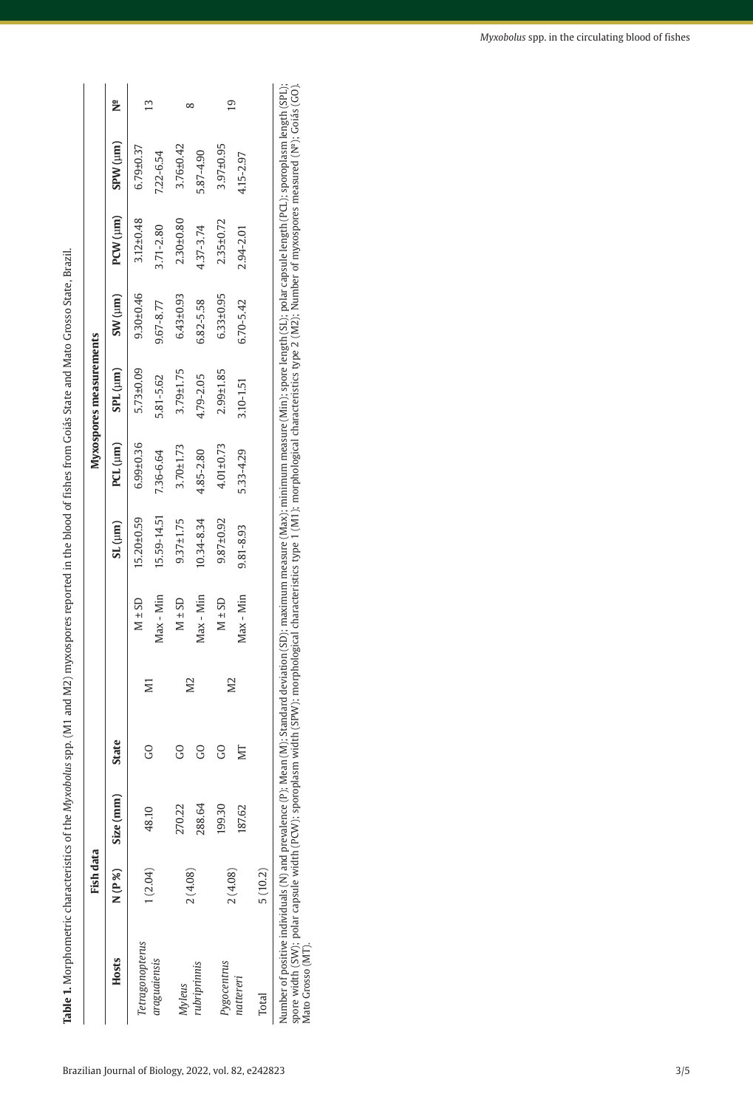Table 1. Morphometric characteristics of the Myxobolus spp. (M1 and M2) myxospores reported in the blood of fishes from Goiás State and Mato Grosso State, Brazil. **Table 1.** Morphometric characteristics of the *Myxobolus* spp. (M1 and M2) myxospores reported in the blood of fishes from Goiás State and Mato Grosso State, Brazil.

|                                                                                                                                                                                                                                                                                                     | Fish data |           |       |           |            |                 |                 | Myxospores measurements |                 |                 |                                                                                                                                                  |   |
|-----------------------------------------------------------------------------------------------------------------------------------------------------------------------------------------------------------------------------------------------------------------------------------------------------|-----------|-----------|-------|-----------|------------|-----------------|-----------------|-------------------------|-----------------|-----------------|--------------------------------------------------------------------------------------------------------------------------------------------------|---|
| Hosts                                                                                                                                                                                                                                                                                               | N(P%)     | Size (mm) | State |           |            | SL(nm)          | PCL (µm)        | SPL (µm)                | SW(um)          | $PCW$ $(\mu n)$ | (um) MdS                                                                                                                                         | ž |
| etragonopterus                                                                                                                                                                                                                                                                                      |           | 48.10     |       | <b>M1</b> | $M \pm SD$ | 15.20±0.59      | $6.99 \pm 0.36$ | 5.73±0.09               | 9.30±0.46       | 3.12±0.48       | $6.79 \pm 0.37$                                                                                                                                  | W |
| araguaiensis                                                                                                                                                                                                                                                                                        | (2.04)    |           |       |           | Max - Min  | 15.59-14.51     | 7.36-6.64       | 5.81-5.62               | 9.67-8.77       | 3.71-2.80       | 7.22-6.54                                                                                                                                        |   |
| <b>Myleus</b>                                                                                                                                                                                                                                                                                       |           | 270.22    | g     |           | $M \pm SD$ | $9.37 \pm 1.75$ | 3.70±1.73       | $3.79 + 1.75$           | $6.43 \pm 0.93$ | $2.30 + 0.80$   | 3.76±0.42                                                                                                                                        |   |
| rubriprinnis                                                                                                                                                                                                                                                                                        | 2(4.08)   | 288.64    | S     | <b>N2</b> | Max - Min  | 10.34-8.34      | 4.85-2.80       | 4.79-2.05               | 6.82-5.58       | 4.37-3.74       | 5.87-4.90                                                                                                                                        |   |
| Pygocentrus                                                                                                                                                                                                                                                                                         |           | 199.30    | g     | <b>N2</b> | $M \pm SD$ | $9.87 + 0.92$   | $4.01 \pm 0.73$ | 2.99±1.85               | 6.33±0.95       | 2.35±0.72       | 3.97±0.95                                                                                                                                        |   |
| natteren                                                                                                                                                                                                                                                                                            | 2(4.08)   | 187.62    | ŊГ    |           | Max - Min  | 9.81-8.93       | 5.33-4.29       | 3.10-1.51               | 6.70-5.42       | 2.94-2.01       | 4.15-2.97                                                                                                                                        | മ |
| <b>Total</b>                                                                                                                                                                                                                                                                                        | 5(10.2)   |           |       |           |            |                 |                 |                         |                 |                 |                                                                                                                                                  |   |
| Number of positive individuals (N) and prevalence (P); Mean (M); Standard deviation (SD); maximum measure (Max); minimum measure (Min); spore length (SL); polar capsule length (PCL); sporoplasm length (SPL);<br>spore width (SW); polar capsule width (PCW); sporoplasm wid<br>Mato Grosso (MT). |           |           |       |           |            |                 |                 |                         |                 |                 | lth (SPW); morphological characteristics type 1 (M1); morphological characteristics type 2 (M2); Number of myxospores measured (Nº); Goiás (GO). |   |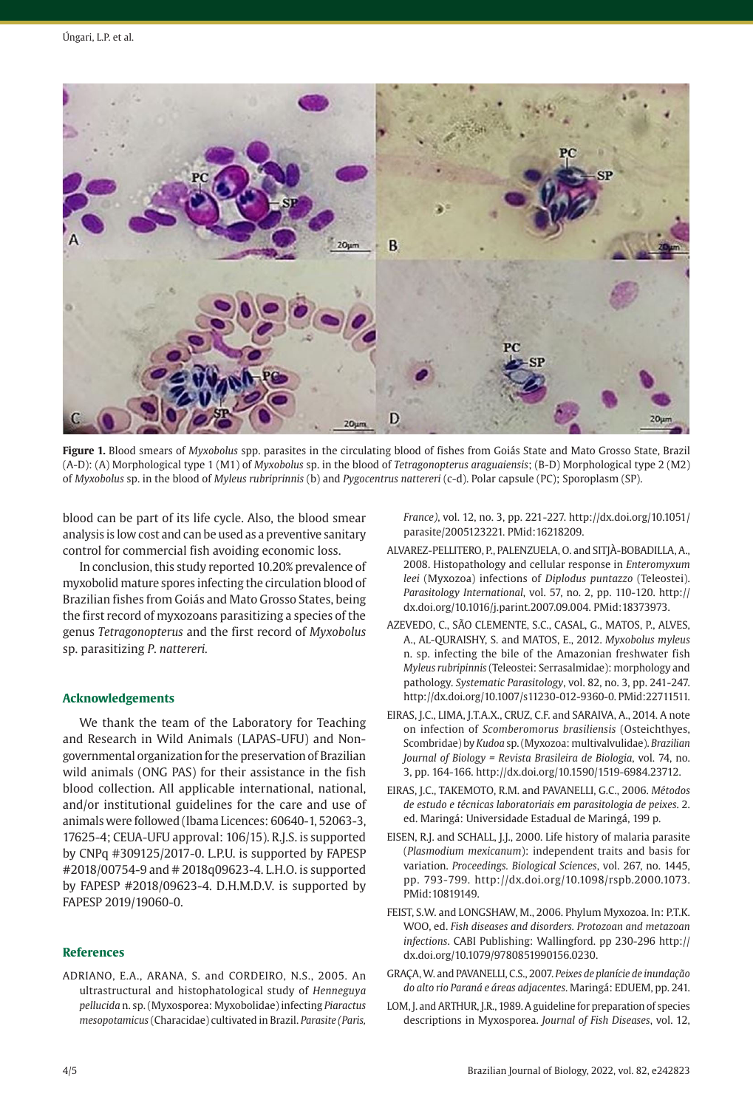

**Figure 1.** Blood smears of *Myxobolus* spp. parasites in the circulating blood of fishes from Goiás State and Mato Grosso State, Brazil (A-D): (A) Morphological type 1 (M1) of *Myxobolus* sp. in the blood of *Tetragonopterus araguaiensis*; (B-D) Morphological type 2 (M2) of *Myxobolus* sp. in the blood of *Myleus rubriprinnis* (b) and *Pygocentrus nattereri* (c-d). Polar capsule (PC); Sporoplasm (SP).

blood can be part of its life cycle. Also, the blood smear analysis is low cost and can be used as a preventive sanitary control for commercial fish avoiding economic loss.

In conclusion, this study reported 10.20% prevalence of myxobolid mature spores infecting the circulation blood of Brazilian fishes from Goiás and Mato Grosso States, being the first record of myxozoans parasitizing a species of the genus *Tetragonopterus* and the first record of *Myxobolus* sp. parasitizing *P*. *nattereri.*

## **Acknowledgements**

We thank the team of the Laboratory for Teaching and Research in Wild Animals (LAPAS-UFU) and Nongovernmental organization for the preservation of Brazilian wild animals (ONG PAS) for their assistance in the fish blood collection. All applicable international, national, and/or institutional guidelines for the care and use of animals were followed (Ibama Licences: 60640-1, 52063-3, 17625-4; CEUA-UFU approval: 106/15). R.J.S. is supported by CNPq #309125/2017-0. L.P.U. is supported by FAPESP #2018/00754-9 and # 2018q09623-4. L.H.O. is supported by FAPESP #2018/09623-4. D.H.M.D.V. is supported by FAPESP 2019/19060-0.

## **References**

ADRIANO, E.A., ARANA, S. and CORDEIRO, N.S., 2005. An ultrastructural and histophatological study of *Henneguya pellucida* n. sp. (Myxosporea: Myxobolidae) infecting *Piaractus mesopotamicus* (Characidae) cultivated in Brazil. *Parasite (Paris,* 

*France)*, vol. 12, no. 3, pp. 221-227. [http://dx.doi.org/10.1051/](https://doi.org/10.1051/parasite/2005123221) [parasite/2005123221.](https://doi.org/10.1051/parasite/2005123221) [PMid:16218209.](https://www.ncbi.nlm.nih.gov/entrez/query.fcgi?cmd=Retrieve&db=PubMed&list_uids=16218209&dopt=Abstract)

- ALVAREZ-PELLITERO, P., PALENZUELA, O. and SITJÀ-BOBADILLA, A., 2008. Histopathology and cellular response in *Enteromyxum leei* (Myxozoa) infections of *Diplodus puntazzo* (Teleostei). *Parasitology International*, vol. 57, no. 2, pp. 110-120. [http://](https://doi.org/10.1016/j.parint.2007.09.004) [dx.doi.org/10.1016/j.parint.2007.09.004.](https://doi.org/10.1016/j.parint.2007.09.004) [PMid:18373973.](https://www.ncbi.nlm.nih.gov/entrez/query.fcgi?cmd=Retrieve&db=PubMed&list_uids=18373973&dopt=Abstract)
- AZEVEDO, C., SÃO CLEMENTE, S.C., CASAL, G., MATOS, P., ALVES, A., AL-QURAISHY, S. and MATOS, E., 2012. *Myxobolus myleus* n. sp. infecting the bile of the Amazonian freshwater fish *Myleus rubripinnis* (Teleostei: Serrasalmidae): morphology and pathology. *Systematic Parasitology*, vol. 82, no. 3, pp. 241-247. [http://dx.doi.org/10.1007/s11230-012-9360-0](https://doi.org/10.1007/s11230-012-9360-0). [PMid:22711511.](https://www.ncbi.nlm.nih.gov/entrez/query.fcgi?cmd=Retrieve&db=PubMed&list_uids=22711511&dopt=Abstract)
- EIRAS, J.C., LIMA, J.T.A.X., CRUZ, C.F. and SARAIVA, A., 2014. A note on infection of *Scomberomorus brasiliensis* (Osteichthyes, Scombridae) by *Kudoa* sp. (Myxozoa: multivalvulidae). *Brazilian Journal of Biology = Revista Brasileira de Biologia*, vol. 74, no. 3, pp. 164-166. [http://dx.doi.org/10.1590/1519-6984.23712](https://doi.org/10.1590/1519-6984.23712).
- EIRAS, J.C., TAKEMOTO, R.M. and PAVANELLI, G.C., 2006. *Métodos de estudo e técnicas laboratoriais em parasitologia de peixes*. 2. ed. Maringá: Universidade Estadual de Maringá, 199 p.
- EISEN, R.J. and SCHALL, J.J., 2000. Life history of malaria parasite (*Plasmodium mexicanum*): independent traits and basis for variation. *Proceedings. Biological Sciences*, vol. 267, no. 1445, pp. 793-799. [http://dx.doi.org/10.1098/rspb.2000.1073](https://doi.org/10.1098/rspb.2000.1073). [PMid:10819149.](https://www.ncbi.nlm.nih.gov/entrez/query.fcgi?cmd=Retrieve&db=PubMed&list_uids=10819149&dopt=Abstract)
- FEIST, S.W. and LONGSHAW, M., 2006. Phylum Myxozoa. In: P.T.K. WOO, ed. *Fish diseases and disorders. Protozoan and metazoan infections*. CABI Publishing: Wallingford. pp 230-296 [http://](https://doi.org/10.1079/9780851990156.0230) [dx.doi.org/10.1079/9780851990156.0230.](https://doi.org/10.1079/9780851990156.0230)
- GRAÇA, W. and PAVANELLI, C.S., 2007. *Peixes de planície de inundação do alto rio Paraná e áreas adjacentes*. Maringá: EDUEM, pp. 241.
- LOM, J. and ARTHUR, J.R., 1989. A guideline for preparation of species descriptions in Myxosporea. *Journal of Fish Diseases*, vol. 12,